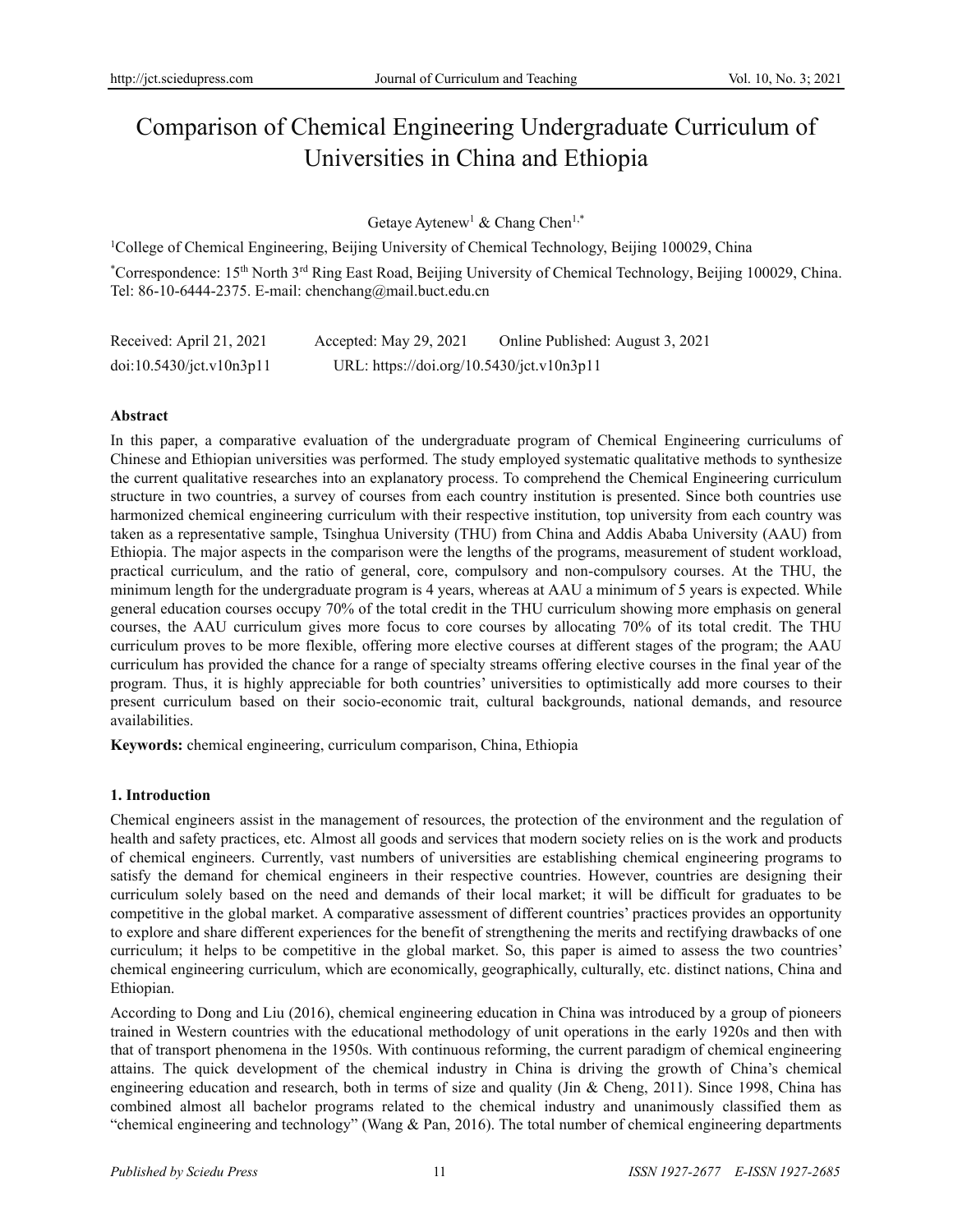# Comparison of Chemical Engineering Undergraduate Curriculum of Universities in China and Ethiopia

Getaye Aytenew<sup>1</sup> & Chang Chen<sup>1,\*</sup>

<sup>1</sup>College of Chemical Engineering, Beijing University of Chemical Technology, Beijing 100029, China

\*Correspondence: 15th North 3rd Ring East Road, Beijing University of Chemical Technology, Beijing 100029, China. Tel: 86-10-6444-2375. E-mail: chenchang@mail.buct.edu.cn

| Received: April 21, 2021 | Accepted: May 29, 2021                    | Online Published: August 3, 2021 |
|--------------------------|-------------------------------------------|----------------------------------|
| doi:10.5430/jct.v10n3p11 | URL: https://doi.org/10.5430/jct.v10n3p11 |                                  |

## **Abstract**

In this paper, a comparative evaluation of the undergraduate program of Chemical Engineering curriculums of Chinese and Ethiopian universities was performed. The study employed systematic qualitative methods to synthesize the current qualitative researches into an explanatory process. To comprehend the Chemical Engineering curriculum structure in two countries, a survey of courses from each country institution is presented. Since both countries use harmonized chemical engineering curriculum with their respective institution, top university from each country was taken as a representative sample, Tsinghua University (THU) from China and Addis Ababa University (AAU) from Ethiopia. The major aspects in the comparison were the lengths of the programs, measurement of student workload, practical curriculum, and the ratio of general, core, compulsory and non-compulsory courses. At the THU, the minimum length for the undergraduate program is 4 years, whereas at AAU a minimum of 5 years is expected. While general education courses occupy 70% of the total credit in the THU curriculum showing more emphasis on general courses, the AAU curriculum gives more focus to core courses by allocating 70% of its total credit. The THU curriculum proves to be more flexible, offering more elective courses at different stages of the program; the AAU curriculum has provided the chance for a range of specialty streams offering elective courses in the final year of the program. Thus, it is highly appreciable for both countries' universities to optimistically add more courses to their present curriculum based on their socio-economic trait, cultural backgrounds, national demands, and resource availabilities.

**Keywords:** chemical engineering, curriculum comparison, China, Ethiopia

## **1. Introduction**

Chemical engineers assist in the management of resources, the protection of the environment and the regulation of health and safety practices, etc. Almost all goods and services that modern society relies on is the work and products of chemical engineers. Currently, vast numbers of universities are establishing chemical engineering programs to satisfy the demand for chemical engineers in their respective countries. However, countries are designing their curriculum solely based on the need and demands of their local market; it will be difficult for graduates to be competitive in the global market. A comparative assessment of different countries' practices provides an opportunity to explore and share different experiences for the benefit of strengthening the merits and rectifying drawbacks of one curriculum; it helps to be competitive in the global market. So, this paper is aimed to assess the two countries' chemical engineering curriculum, which are economically, geographically, culturally, etc. distinct nations, China and Ethiopian.

According to Dong and Liu (2016), chemical engineering education in China was introduced by a group of pioneers trained in Western countries with the educational methodology of unit operations in the early 1920s and then with that of transport phenomena in the 1950s. With continuous reforming, the current paradigm of chemical engineering attains. The quick development of the chemical industry in China is driving the growth of China's chemical engineering education and research, both in terms of size and quality (Jin & Cheng, 2011). Since 1998, China has combined almost all bachelor programs related to the chemical industry and unanimously classified them as "chemical engineering and technology" (Wang & Pan, 2016). The total number of chemical engineering departments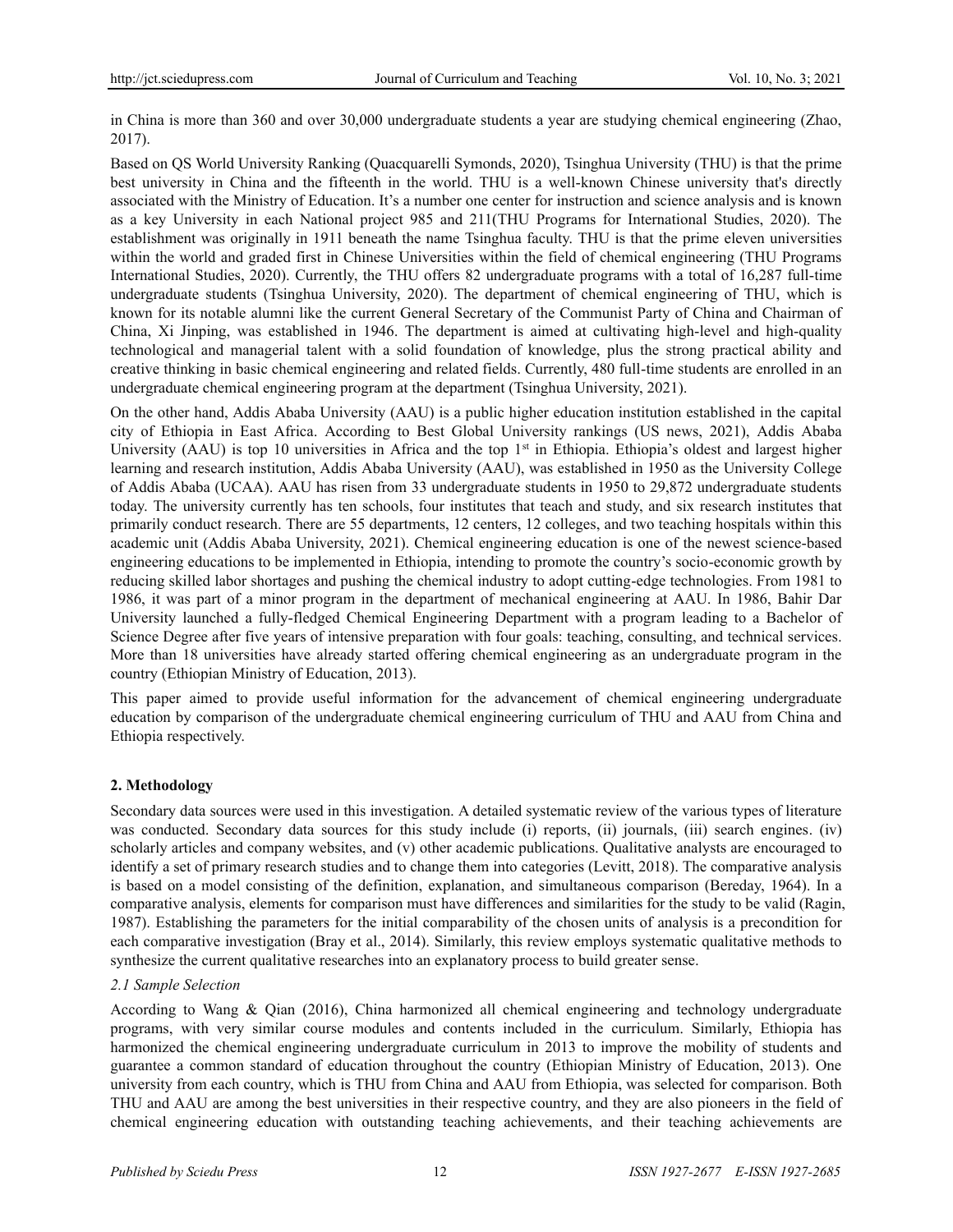in China is more than 360 and over 30,000 undergraduate students a year are studying chemical engineering (Zhao, 2017).

Based on QS World University Ranking (Quacquarelli Symonds, 2020), Tsinghua University (THU) is that the prime best university in China and the fifteenth in the world. THU is a well-known Chinese university that's directly associated with the Ministry of Education. It's a number one center for instruction and science analysis and is known as a key University in each National project 985 and 211(THU Programs for International Studies, 2020). The establishment was originally in 1911 beneath the name Tsinghua faculty. THU is that the prime eleven universities within the world and graded first in Chinese Universities within the field of chemical engineering (THU Programs International Studies, 2020). Currently, the THU offers 82 undergraduate programs with a total of 16,287 full-time undergraduate students (Tsinghua University, 2020). The department of chemical engineering of THU, which is known for its notable alumni like the current General Secretary of the Communist Party of China and Chairman of China, Xi Jinping, was established in 1946. The department is aimed at cultivating high-level and high-quality technological and managerial talent with a solid foundation of knowledge, plus the strong practical ability and creative thinking in basic chemical engineering and related fields. Currently, 480 full-time students are enrolled in an undergraduate chemical engineering program at the department (Tsinghua University, 2021).

On the other hand, Addis Ababa University (AAU) is a public higher education institution established in the capital city of Ethiopia in East Africa. According to Best Global University rankings (US news, 2021), Addis Ababa University (AAU) is top 10 universities in Africa and the top  $1<sup>st</sup>$  in Ethiopia. Ethiopia's oldest and largest higher learning and research institution, Addis Ababa University (AAU), was established in 1950 as the University College of Addis Ababa (UCAA). AAU has risen from 33 undergraduate students in 1950 to 29,872 undergraduate students today. The university currently has ten schools, four institutes that teach and study, and six research institutes that primarily conduct research. There are 55 departments, 12 centers, 12 colleges, and two teaching hospitals within this academic unit (Addis Ababa University, 2021). Chemical engineering education is one of the newest science-based engineering educations to be implemented in Ethiopia, intending to promote the country's socio-economic growth by reducing skilled labor shortages and pushing the chemical industry to adopt cutting-edge technologies. From 1981 to 1986, it was part of a minor program in the department of mechanical engineering at AAU. In 1986, Bahir Dar University launched a fully-fledged Chemical Engineering Department with a program leading to a Bachelor of Science Degree after five years of intensive preparation with four goals: teaching, consulting, and technical services. More than 18 universities have already started offering chemical engineering as an undergraduate program in the country (Ethiopian Ministry of Education, 2013).

This paper aimed to provide useful information for the advancement of chemical engineering undergraduate education by comparison of the undergraduate chemical engineering curriculum of THU and AAU from China and Ethiopia respectively.

## **2. Methodology**

Secondary data sources were used in this investigation. A detailed systematic review of the various types of literature was conducted. Secondary data sources for this study include (i) reports, (ii) journals, (iii) search engines. (iv) scholarly articles and company websites, and (v) other academic publications. Qualitative analysts are encouraged to identify a set of primary research studies and to change them into categories (Levitt, 2018). The comparative analysis is based on a model consisting of the definition, explanation, and simultaneous comparison (Bereday, 1964). In a comparative analysis, elements for comparison must have differences and similarities for the study to be valid (Ragin, 1987). Establishing the parameters for the initial comparability of the chosen units of analysis is a precondition for each comparative investigation (Bray et al., 2014). Similarly, this review employs systematic qualitative methods to synthesize the current qualitative researches into an explanatory process to build greater sense.

## *2.1 Sample Selection*

According to Wang & Qian (2016), China harmonized all chemical engineering and technology undergraduate programs, with very similar course modules and contents included in the curriculum. Similarly, Ethiopia has harmonized the chemical engineering undergraduate curriculum in 2013 to improve the mobility of students and guarantee a common standard of education throughout the country (Ethiopian Ministry of Education, 2013). One university from each country, which is THU from China and AAU from Ethiopia, was selected for comparison. Both THU and AAU are among the best universities in their respective country, and they are also pioneers in the field of chemical engineering education with outstanding teaching achievements, and their teaching achievements are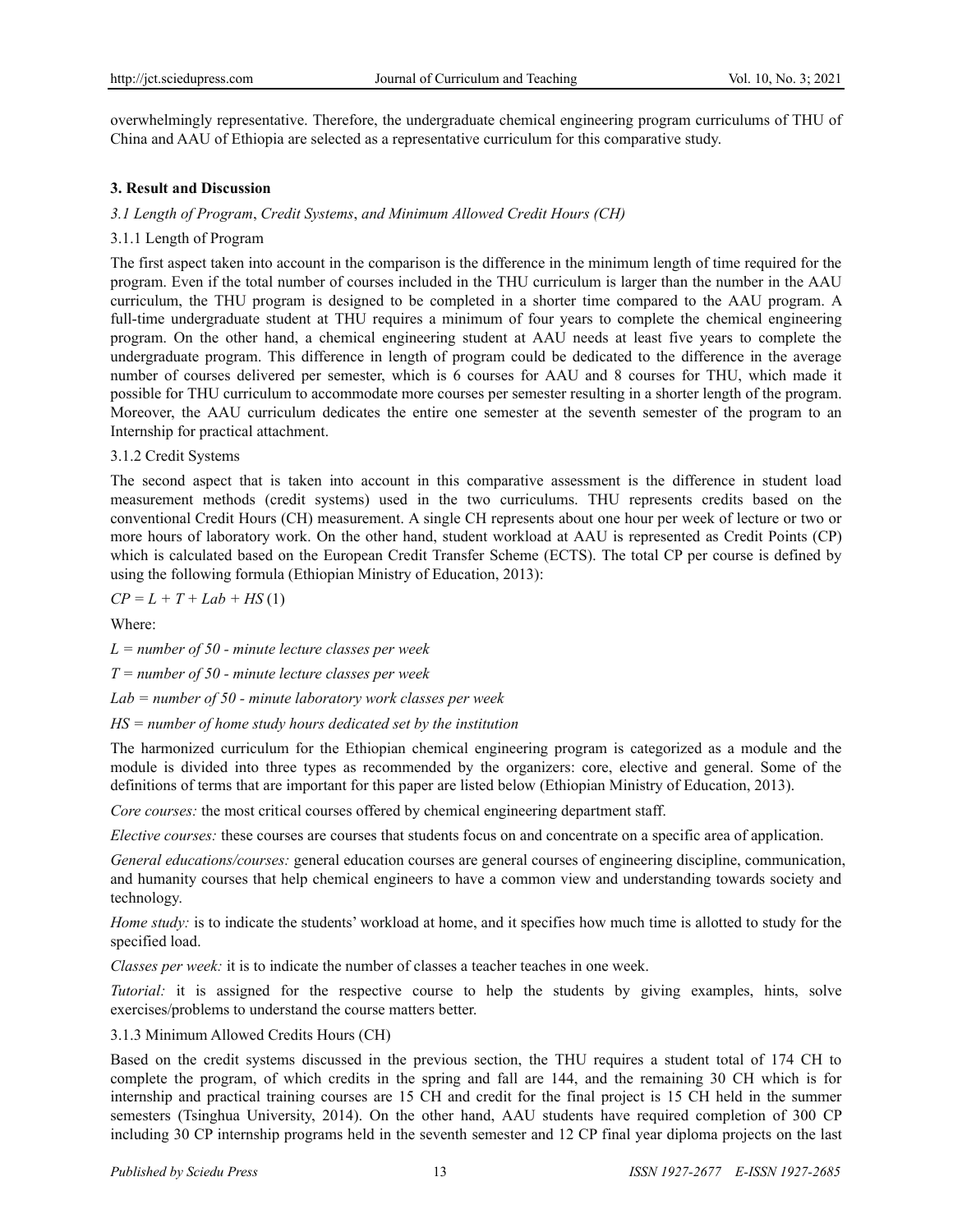overwhelmingly representative. Therefore, the undergraduate chemical engineering program curriculums of THU of China and AAU of Ethiopia are selected as a representative curriculum for this comparative study.

# **3. Result and Discussion**

## *3.1 Length of Program*, *Credit Systems*, *and Minimum Allowed Credit Hours (CH)*

## 3.1.1 Length of Program

The first aspect taken into account in the comparison is the difference in the minimum length of time required for the program. Even if the total number of courses included in the THU curriculum is larger than the number in the AAU curriculum, the THU program is designed to be completed in a shorter time compared to the AAU program. A full-time undergraduate student at THU requires a minimum of four years to complete the chemical engineering program. On the other hand, a chemical engineering student at AAU needs at least five years to complete the undergraduate program. This difference in length of program could be dedicated to the difference in the average number of courses delivered per semester, which is 6 courses for AAU and 8 courses for THU, which made it possible for THU curriculum to accommodate more courses per semester resulting in a shorter length of the program. Moreover, the AAU curriculum dedicates the entire one semester at the seventh semester of the program to an Internship for practical attachment.

## 3.1.2 Credit Systems

The second aspect that is taken into account in this comparative assessment is the difference in student load measurement methods (credit systems) used in the two curriculums. THU represents credits based on the conventional Credit Hours (CH) measurement. A single CH represents about one hour per week of lecture or two or more hours of laboratory work. On the other hand, student workload at AAU is represented as Credit Points (CP) which is calculated based on the European Credit Transfer Scheme (ECTS). The total CP per course is defined by using the following formula (Ethiopian Ministry of Education, 2013):

$$
CP = L + T + Lab + HS(1)
$$

Where:

*L = number of 50 - minute lecture classes per week*

*T = number of 50 - minute lecture classes per week*

*Lab = number of 50 - minute laboratory work classes per week*

*HS = number of home study hours dedicated set by the institution*

The harmonized curriculum for the Ethiopian chemical engineering program is categorized as a module and the module is divided into three types as recommended by the organizers: core, elective and general. Some of the definitions of terms that are important for this paper are listed below (Ethiopian Ministry of Education, 2013).

*Core courses:* the most critical courses offered by chemical engineering department staff.

*Elective courses:* these courses are courses that students focus on and concentrate on a specific area of application.

*General educations/courses:* general education courses are general courses of engineering discipline, communication, and humanity courses that help chemical engineers to have a common view and understanding towards society and technology.

*Home study:* is to indicate the students' workload at home, and it specifies how much time is allotted to study for the specified load.

*Classes per week:* it is to indicate the number of classes a teacher teaches in one week.

*Tutorial:* it is assigned for the respective course to help the students by giving examples, hints, solve exercises/problems to understand the course matters better.

## 3.1.3 Minimum Allowed Credits Hours (CH)

Based on the credit systems discussed in the previous section, the THU requires a student total of 174 CH to complete the program, of which credits in the spring and fall are 144, and the remaining 30 CH which is for internship and practical training courses are 15 CH and credit for the final project is 15 CH held in the summer semesters (Tsinghua University, 2014). On the other hand, AAU students have required completion of 300 CP including 30 CP internship programs held in the seventh semester and 12 CP final year diploma projects on the last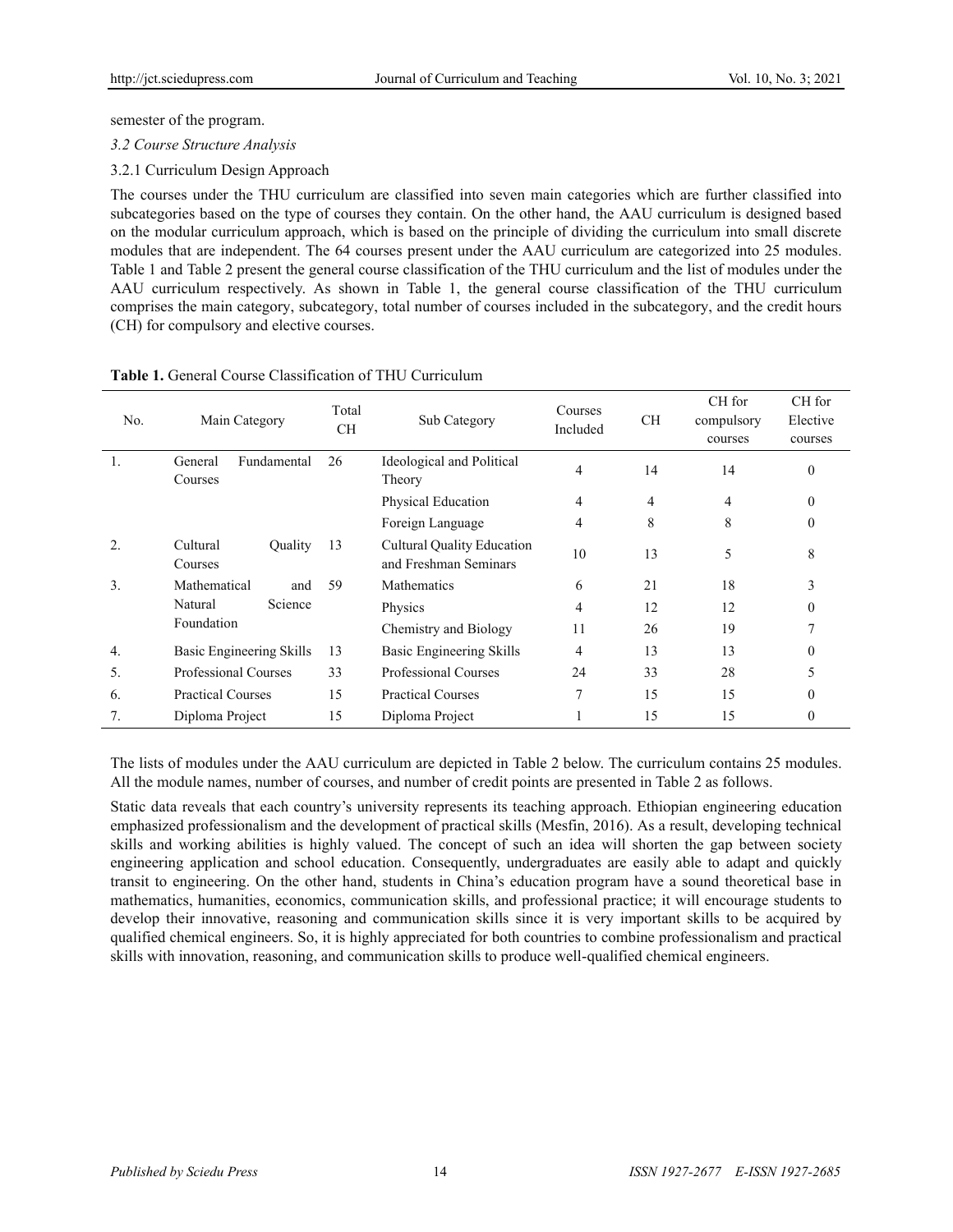semester of the program.

## *3.2 Course Structure Analysis*

## 3.2.1 Curriculum Design Approach

The courses under the THU curriculum are classified into seven main categories which are further classified into subcategories based on the type of courses they contain. On the other hand, the AAU curriculum is designed based on the modular curriculum approach, which is based on the principle of dividing the curriculum into small discrete modules that are independent. The 64 courses present under the AAU curriculum are categorized into 25 modules. Table 1 and Table 2 present the general course classification of the THU curriculum and the list of modules under the AAU curriculum respectively. As shown in Table 1, the general course classification of the THU curriculum comprises the main category, subcategory, total number of courses included in the subcategory, and the credit hours (CH) for compulsory and elective courses.

## **Table 1.** General Course Classification of THU Curriculum

| No.           | Main Category                     | Total<br><b>CH</b> | Sub Category                                        | Courses<br>Included | <b>CH</b> | CH for<br>compulsory<br>courses | CH for<br>Elective<br>courses |
|---------------|-----------------------------------|--------------------|-----------------------------------------------------|---------------------|-----------|---------------------------------|-------------------------------|
|               | Fundamental<br>General<br>Courses | 26                 | Ideological and Political<br>Theory                 | 4                   | 14        | 14                              | $\theta$                      |
|               |                                   |                    | Physical Education                                  | 4                   | 4         | 4                               | $\theta$                      |
|               |                                   |                    | Foreign Language                                    | $\overline{4}$      | 8         | 8                               | $\theta$                      |
| 2.            | Cultural<br>Quality<br>Courses    | 13                 | Cultural Quality Education<br>and Freshman Seminars | 10                  | 13        | 5                               | 8                             |
| $\mathcal{E}$ | Mathematical<br>and               | 59                 | <b>Mathematics</b>                                  | 6                   | 21        | 18                              | 3                             |
|               | Science<br>Natural                |                    | Physics                                             | 4                   | 12        | 12                              | $\theta$                      |
|               | Foundation                        |                    | Chemistry and Biology                               | 11                  | 26        | 19                              | 7                             |
| 4.            | <b>Basic Engineering Skills</b>   | 13                 | Basic Engineering Skills                            | 4                   | 13        | 13                              | $\mathbf{0}$                  |
| 5.            | Professional Courses              | 33                 | Professional Courses                                | 24                  | 33        | 28                              | 5                             |
| 6.            | <b>Practical Courses</b>          | 15                 | <b>Practical Courses</b>                            | 7                   | 15        | 15                              | $\theta$                      |
| 7.            | Diploma Project                   | 15                 | Diploma Project                                     |                     | 15        | 15                              | $\theta$                      |

The lists of modules under the AAU curriculum are depicted in Table 2 below. The curriculum contains 25 modules. All the module names, number of courses, and number of credit points are presented in Table 2 as follows.

Static data reveals that each country's university represents its teaching approach. Ethiopian engineering education emphasized professionalism and the development of practical skills (Mesfin, 2016). As a result, developing technical skills and working abilities is highly valued. The concept of such an idea will shorten the gap between society engineering application and school education. Consequently, undergraduates are easily able to adapt and quickly transit to engineering. On the other hand, students in China's education program have a sound theoretical base in mathematics, humanities, economics, communication skills, and professional practice; it will encourage students to develop their innovative, reasoning and communication skills since it is very important skills to be acquired by qualified chemical engineers. So, it is highly appreciated for both countries to combine professionalism and practical skills with innovation, reasoning, and communication skills to produce well-qualified chemical engineers.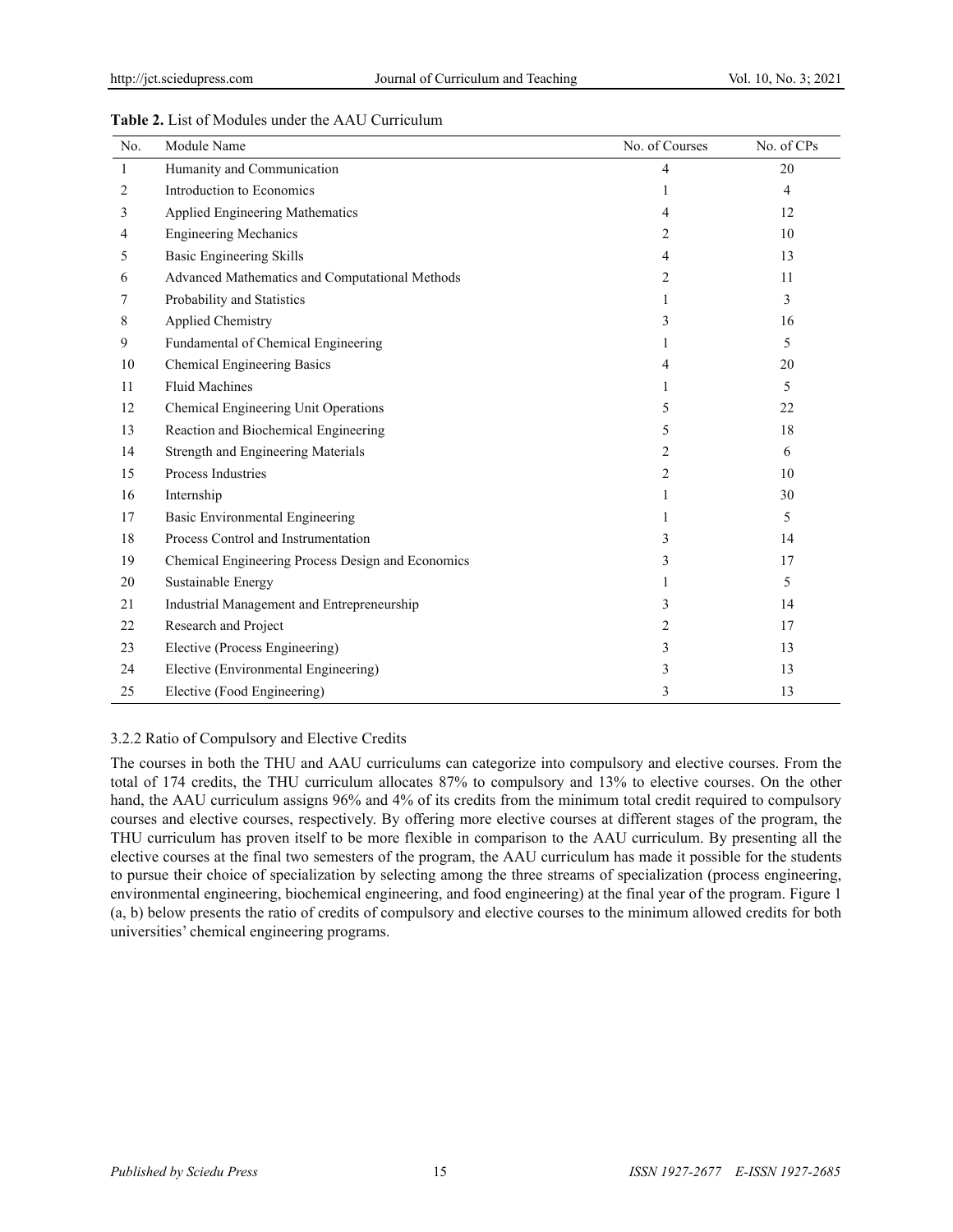## **Table 2.** List of Modules under the AAU Curriculum

| No.          | Module Name                                       | No. of Courses | No. of CPs     |
|--------------|---------------------------------------------------|----------------|----------------|
| $\mathbf{1}$ | Humanity and Communication                        | $\overline{4}$ | 20             |
| 2            | Introduction to Economics                         |                | $\overline{4}$ |
| 3            | Applied Engineering Mathematics                   | 4              | 12             |
| 4            | <b>Engineering Mechanics</b>                      | 2              | 10             |
| 5            | <b>Basic Engineering Skills</b>                   | 4              | 13             |
| 6            | Advanced Mathematics and Computational Methods    | 2              | 11             |
| 7            | Probability and Statistics                        | 1              | 3              |
| 8            | <b>Applied Chemistry</b>                          | 3              | 16             |
| 9            | Fundamental of Chemical Engineering               |                | 5              |
| 10           | <b>Chemical Engineering Basics</b>                | 4              | 20             |
| 11           | <b>Fluid Machines</b>                             | 1              | 5              |
| 12           | Chemical Engineering Unit Operations              | 5              | 22             |
| 13           | Reaction and Biochemical Engineering              | 5              | 18             |
| 14           | <b>Strength and Engineering Materials</b>         | 2              | 6              |
| 15           | Process Industries                                | 2              | 10             |
| 16           | Internship                                        | 1              | 30             |
| 17           | Basic Environmental Engineering                   | 1              | 5              |
| 18           | Process Control and Instrumentation               | 3              | 14             |
| 19           | Chemical Engineering Process Design and Economics | 3              | 17             |
| 20           | Sustainable Energy                                | 1              | 5              |
| 21           | Industrial Management and Entrepreneurship        | 3              | 14             |
| 22           | Research and Project                              | 2              | 17             |
| 23           | Elective (Process Engineering)                    | 3              | 13             |
| 24           | Elective (Environmental Engineering)              | 3              | 13             |
| 25           | Elective (Food Engineering)                       | 3              | 13             |

## 3.2.2 Ratio of Compulsory and Elective Credits

The courses in both the THU and AAU curriculums can categorize into compulsory and elective courses. From the total of 174 credits, the THU curriculum allocates 87% to compulsory and 13% to elective courses. On the other hand, the AAU curriculum assigns 96% and 4% of its credits from the minimum total credit required to compulsory courses and elective courses, respectively. By offering more elective courses at different stages of the program, the THU curriculum has proven itself to be more flexible in comparison to the AAU curriculum. By presenting all the elective courses at the final two semesters of the program, the AAU curriculum has made it possible for the students to pursue their choice of specialization by selecting among the three streams of specialization (process engineering, environmental engineering, biochemical engineering, and food engineering) at the final year of the program. Figure 1 (a, b) below presents the ratio of credits of compulsory and elective courses to the minimum allowed credits for both universities' chemical engineering programs.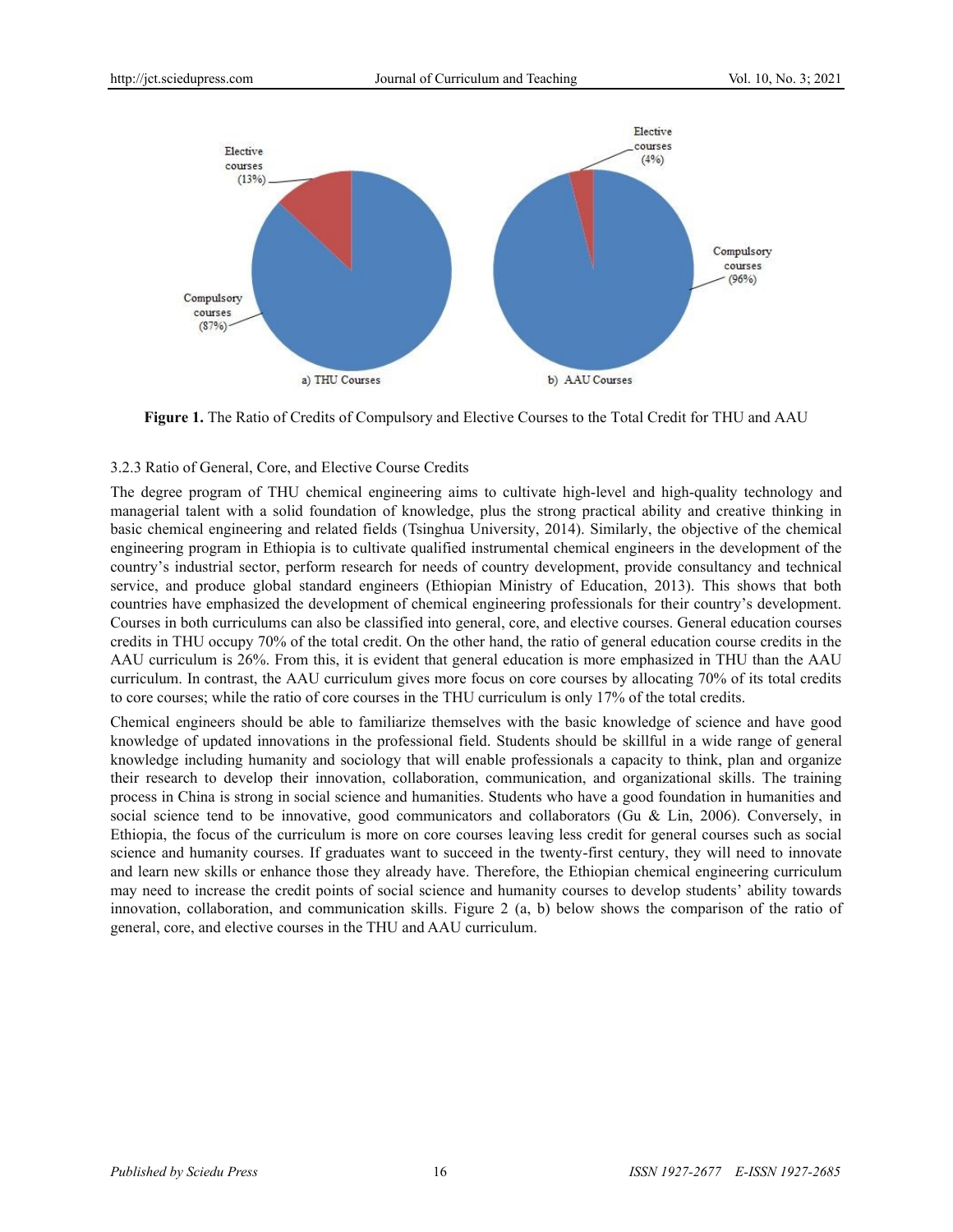

**Figure 1.** The Ratio of Credits of Compulsory and Elective Courses to the Total Credit for THU and AAU

## 3.2.3 Ratio of General, Core, and Elective Course Credits

The degree program of THU chemical engineering aims to cultivate high-level and high-quality technology and managerial talent with a solid foundation of knowledge, plus the strong practical ability and creative thinking in basic chemical engineering and related fields (Tsinghua University, 2014). Similarly, the objective of the chemical engineering program in Ethiopia is to cultivate qualified instrumental chemical engineers in the development of the country's industrial sector, perform research for needs of country development, provide consultancy and technical service, and produce global standard engineers (Ethiopian Ministry of Education, 2013). This shows that both countries have emphasized the development of chemical engineering professionals for their country's development. Courses in both curriculums can also be classified into general, core, and elective courses. General education courses credits in THU occupy 70% of the total credit. On the other hand, the ratio of general education course credits in the AAU curriculum is 26%. From this, it is evident that general education is more emphasized in THU than the AAU curriculum. In contrast, the AAU curriculum gives more focus on core courses by allocating 70% of its total credits to core courses; while the ratio of core courses in the THU curriculum is only 17% of the total credits.

Chemical engineers should be able to familiarize themselves with the basic knowledge of science and have good knowledge of updated innovations in the professional field. Students should be skillful in a wide range of general knowledge including humanity and sociology that will enable professionals a capacity to think, plan and organize their research to develop their innovation, collaboration, communication, and organizational skills. The training process in China is strong in social science and humanities. Students who have a good foundation in humanities and social science tend to be innovative, good communicators and collaborators (Gu & Lin, 2006). Conversely, in Ethiopia, the focus of the curriculum is more on core courses leaving less credit for general courses such as social science and humanity courses. If graduates want to succeed in the twenty-first century, they will need to innovate and learn new skills or enhance those they already have. Therefore, the Ethiopian chemical engineering curriculum may need to increase the credit points of social science and humanity courses to develop students' ability towards innovation, collaboration, and communication skills. Figure 2 (a, b) below shows the comparison of the ratio of general, core, and elective courses in the THU and AAU curriculum.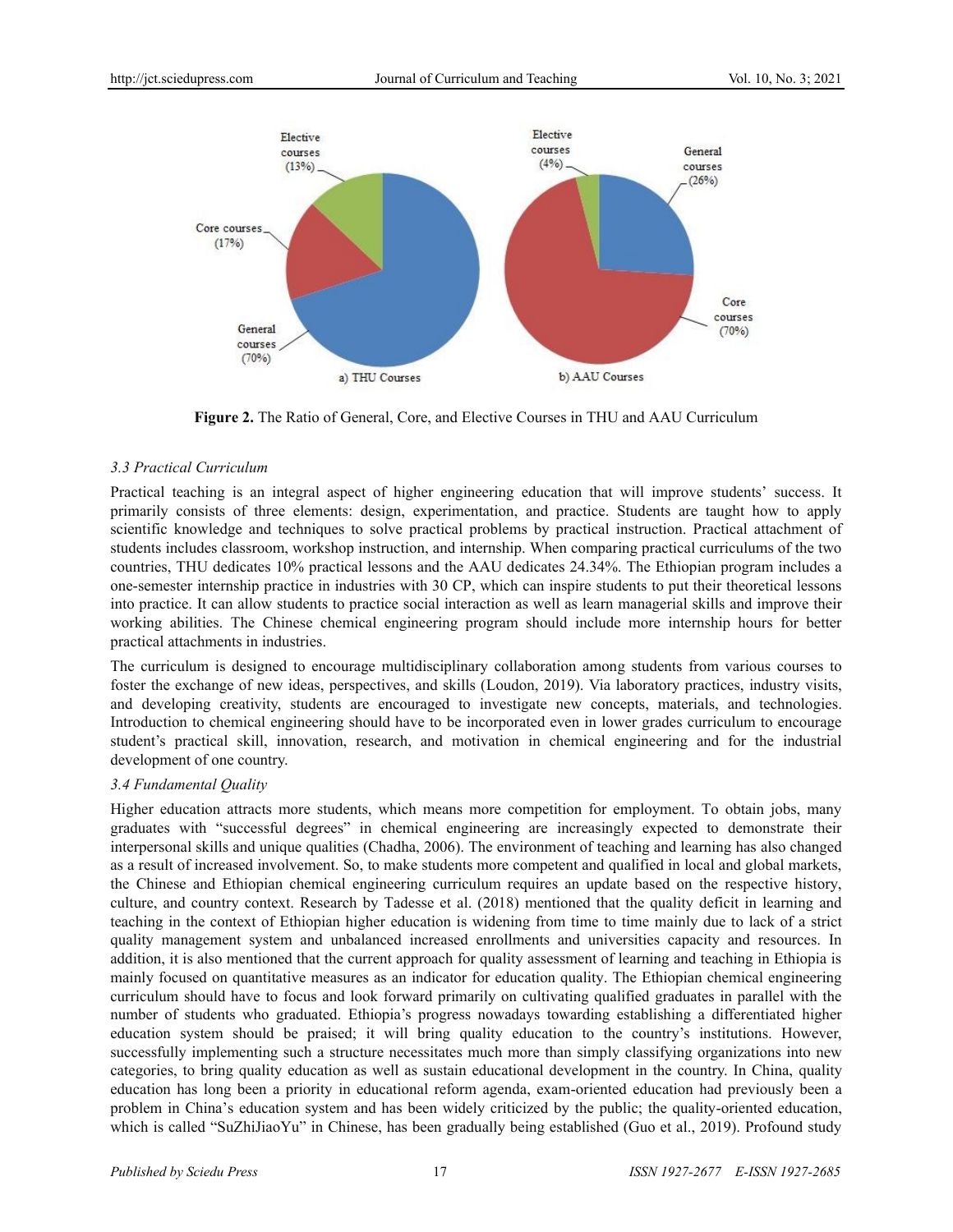

**Figure 2.** The Ratio of General, Core, and Elective Courses in THU and AAU Curriculum

# *3.3 Practical Curriculum*

Practical teaching is an integral aspect of higher engineering education that will improve students' success. It primarily consists of three elements: design, experimentation, and practice. Students are taught how to apply scientific knowledge and techniques to solve practical problems by practical instruction. Practical attachment of students includes classroom, workshop instruction, and internship. When comparing practical curriculums of the two countries, THU dedicates 10% practical lessons and the AAU dedicates 24.34%. The Ethiopian program includes a one-semester internship practice in industries with 30 CP, which can inspire students to put their theoretical lessons into practice. It can allow students to practice social interaction as well as learn managerial skills and improve their working abilities. The Chinese chemical engineering program should include more internship hours for better practical attachments in industries.

The curriculum is designed to encourage multidisciplinary collaboration among students from various courses to foster the exchange of new ideas, perspectives, and skills (Loudon, 2019). Via laboratory practices, industry visits, and developing creativity, students are encouraged to investigate new concepts, materials, and technologies. Introduction to chemical engineering should have to be incorporated even in lower grades curriculum to encourage student's practical skill, innovation, research, and motivation in chemical engineering and for the industrial development of one country.

## *3.4 Fundamental Quality*

Higher education attracts more students, which means more competition for employment. To obtain jobs, many graduates with "successful degrees" in chemical engineering are increasingly expected to demonstrate their interpersonal skills and unique qualities (Chadha, 2006). The environment of teaching and learning has also changed as a result of increased involvement. So, to make students more competent and qualified in local and global markets, the Chinese and Ethiopian chemical engineering curriculum requires an update based on the respective history, culture, and country context. Research by Tadesse et al. (2018) mentioned that the quality deficit in learning and teaching in the context of Ethiopian higher education is widening from time to time mainly due to lack of a strict quality management system and unbalanced increased enrollments and universities capacity and resources. In addition, it is also mentioned that the current approach for quality assessment of learning and teaching in Ethiopia is mainly focused on quantitative measures as an indicator for education quality. The Ethiopian chemical engineering curriculum should have to focus and look forward primarily on cultivating qualified graduates in parallel with the number of students who graduated. Ethiopia's progress nowadays towarding establishing a differentiated higher education system should be praised; it will bring quality education to the country's institutions. However, successfully implementing such a structure necessitates much more than simply classifying organizations into new categories, to bring quality education as well as sustain educational development in the country. In China, quality education has long been a priority in educational reform agenda, exam-oriented education had previously been a problem in China's education system and has been widely criticized by the public; the quality-oriented education, which is called "SuZhiJiaoYu" in Chinese, has been gradually being established (Guo et al., 2019). Profound study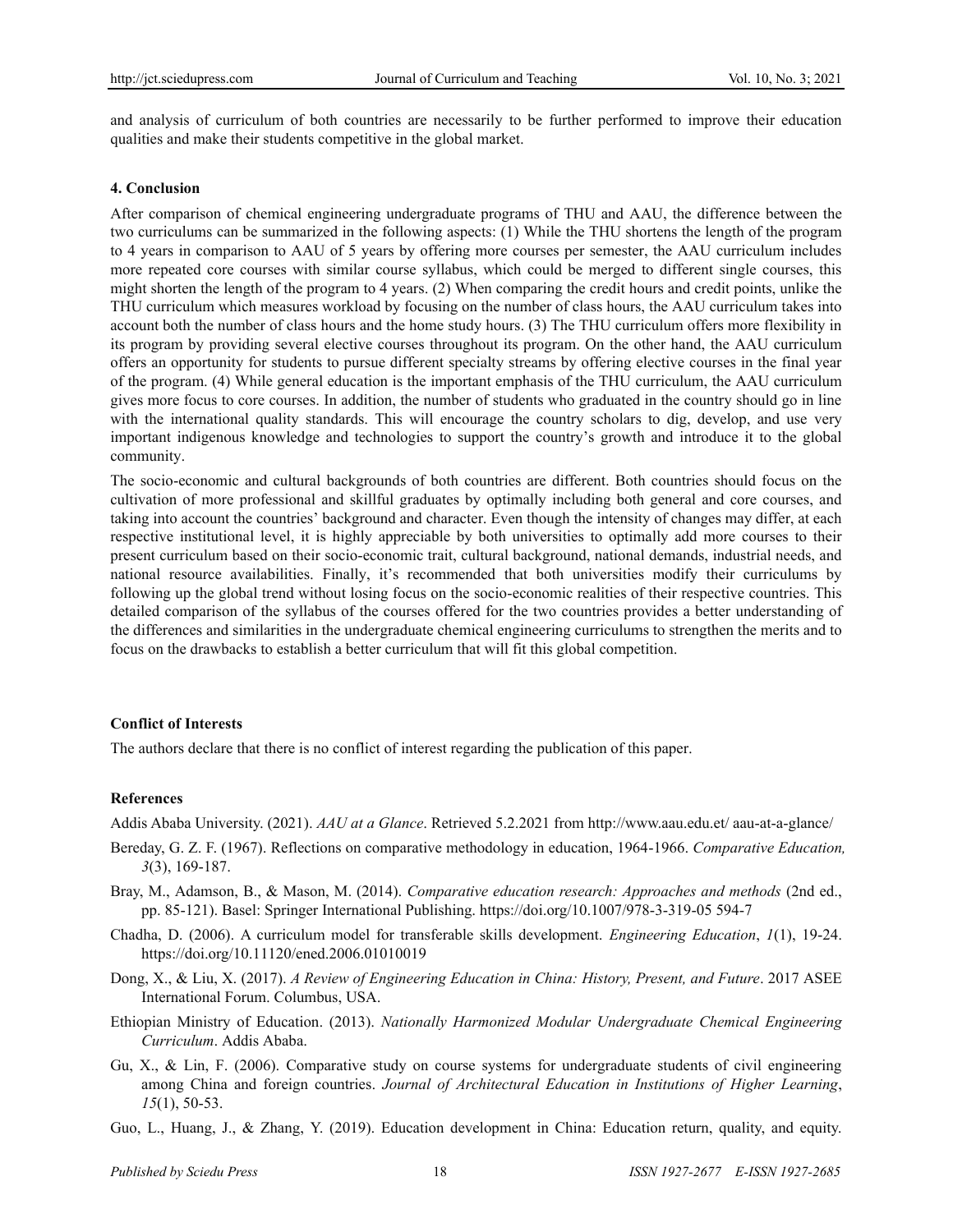and analysis of curriculum of both countries are necessarily to be further performed to improve their education qualities and make their students competitive in the global market.

#### **4. Conclusion**

After comparison of chemical engineering undergraduate programs of THU and AAU, the difference between the two curriculums can be summarized in the following aspects: (1) While the THU shortens the length of the program to 4 years in comparison to AAU of 5 years by offering more courses per semester, the AAU curriculum includes more repeated core courses with similar course syllabus, which could be merged to different single courses, this might shorten the length of the program to 4 years. (2) When comparing the credit hours and credit points, unlike the THU curriculum which measures workload by focusing on the number of class hours, the AAU curriculum takes into account both the number of class hours and the home study hours. (3) The THU curriculum offers more flexibility in its program by providing several elective courses throughout its program. On the other hand, the AAU curriculum offers an opportunity for students to pursue different specialty streams by offering elective courses in the final year of the program. (4) While general education is the important emphasis of the THU curriculum, the AAU curriculum gives more focus to core courses. In addition, the number of students who graduated in the country should go in line with the international quality standards. This will encourage the country scholars to dig, develop, and use very important indigenous knowledge and technologies to support the country's growth and introduce it to the global community.

The socio-economic and cultural backgrounds of both countries are different. Both countries should focus on the cultivation of more professional and skillful graduates by optimally including both general and core courses, and taking into account the countries' background and character. Even though the intensity of changes may differ, at each respective institutional level, it is highly appreciable by both universities to optimally add more courses to their present curriculum based on their socio-economic trait, cultural background, national demands, industrial needs, and national resource availabilities. Finally, it's recommended that both universities modify their curriculums by following up the global trend without losing focus on the socio-economic realities of their respective countries. This detailed comparison of the syllabus of the courses offered for the two countries provides a better understanding of the differences and similarities in the undergraduate chemical engineering curriculums to strengthen the merits and to focus on the drawbacks to establish a better curriculum that will fit this global competition.

## **Conflict of Interests**

The authors declare that there is no conflict of interest regarding the publication of this paper.

#### **References**

Addis Ababa University. (2021). *AAU at a Glance*. Retrieved 5.2.2021 from http://www.aau.edu.et/ aau-at-a-glance/

- Bereday, G. Z. F. (1967). Reflections on comparative methodology in education, 1964-1966. *Comparative Education, 3*(3), 169-187.
- Bray, M., Adamson, B., & Mason, M. (2014). *Comparative education research: Approaches and methods* (2nd ed., pp. 85-121). Basel: Springer International Publishing. https://doi.org/10.1007/978-3-319-05 594-7
- Chadha, D. (2006). A curriculum model for transferable skills development. *Engineering Education*, *1*(1), 19-24. https://doi.org/10.11120/ened.2006.01010019
- Dong, X., & Liu, X. (2017). *A Review of Engineering Education in China: History, Present, and Future*. 2017 ASEE International Forum. Columbus, USA.
- Ethiopian Ministry of Education. (2013). *Nationally Harmonized Modular Undergraduate Chemical Engineering Curriculum*. Addis Ababa.
- Gu, X., & Lin, F. (2006). Comparative study on course systems for undergraduate students of civil engineering among China and foreign countries. *Journal of Architectural Education in Institutions of Higher Learning*, *15*(1), 50-53.
- Guo, L., Huang, J., & Zhang, Y. (2019). Education development in China: Education return, quality, and equity.